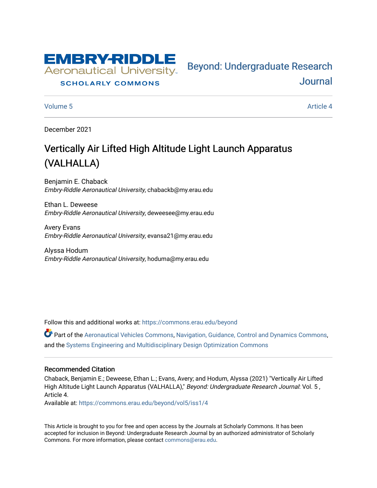

#### **SCHOLARLY COMMONS**

[Volume 5](https://commons.erau.edu/beyond/vol5) Article 4

[Journal](https://commons.erau.edu/beyond) 

Bey[ond: Undergraduate Resear](https://commons.erau.edu/beyond)ch

December 2021

# Vertically Air Lifted High Altitude Light Launch Apparatus (VALHALLA)

Benjamin E. Chaback Embry-Riddle Aeronautical University, chabackb@my.erau.edu

Ethan L. Deweese Embry-Riddle Aeronautical University, deweesee@my.erau.edu

Avery Evans Embry-Riddle Aeronautical University, evansa21@my.erau.edu

Alyssa Hodum Embry-Riddle Aeronautical University, hoduma@my.erau.edu

Follow this and additional works at: [https://commons.erau.edu/beyond](https://commons.erau.edu/beyond?utm_source=commons.erau.edu%2Fbeyond%2Fvol5%2Fiss1%2F4&utm_medium=PDF&utm_campaign=PDFCoverPages) 

Part of the [Aeronautical Vehicles Commons,](http://network.bepress.com/hgg/discipline/219?utm_source=commons.erau.edu%2Fbeyond%2Fvol5%2Fiss1%2F4&utm_medium=PDF&utm_campaign=PDFCoverPages) [Navigation, Guidance, Control and Dynamics Commons](http://network.bepress.com/hgg/discipline/226?utm_source=commons.erau.edu%2Fbeyond%2Fvol5%2Fiss1%2F4&utm_medium=PDF&utm_campaign=PDFCoverPages), and the [Systems Engineering and Multidisciplinary Design Optimization Commons](http://network.bepress.com/hgg/discipline/221?utm_source=commons.erau.edu%2Fbeyond%2Fvol5%2Fiss1%2F4&utm_medium=PDF&utm_campaign=PDFCoverPages) 

#### Recommended Citation

Chaback, Benjamin E.; Deweese, Ethan L.; Evans, Avery; and Hodum, Alyssa (2021) "Vertically Air Lifted High Altitude Light Launch Apparatus (VALHALLA)," Beyond: Undergraduate Research Journal: Vol. 5, Article 4.

Available at: [https://commons.erau.edu/beyond/vol5/iss1/4](https://commons.erau.edu/beyond/vol5/iss1/4?utm_source=commons.erau.edu%2Fbeyond%2Fvol5%2Fiss1%2F4&utm_medium=PDF&utm_campaign=PDFCoverPages) 

This Article is brought to you for free and open access by the Journals at Scholarly Commons. It has been accepted for inclusion in Beyond: Undergraduate Research Journal by an authorized administrator of Scholarly Commons. For more information, please contact [commons@erau.edu.](mailto:commons@erau.edu)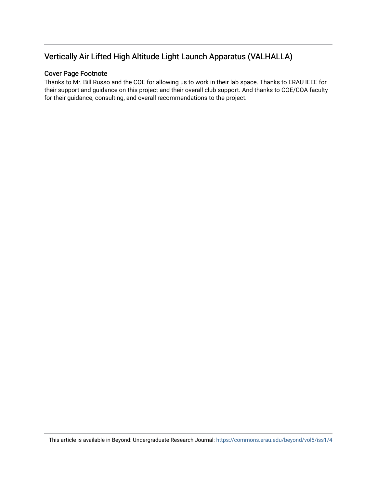## Vertically Air Lifted High Altitude Light Launch Apparatus (VALHALLA)

#### Cover Page Footnote

Thanks to Mr. Bill Russo and the COE for allowing us to work in their lab space. Thanks to ERAU IEEE for their support and guidance on this project and their overall club support. And thanks to COE/COA faculty for their guidance, consulting, and overall recommendations to the project.

This article is available in Beyond: Undergraduate Research Journal:<https://commons.erau.edu/beyond/vol5/iss1/4>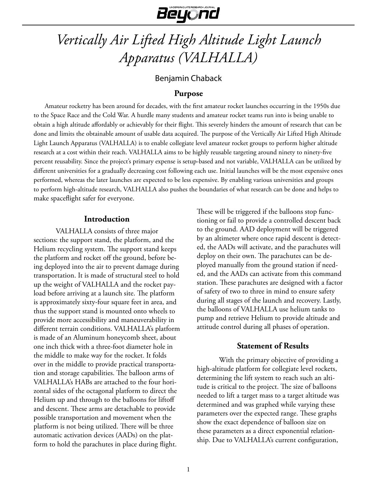

# *Vertically Air Lifted High Altitude Light Launch Apparatus (VALHALLA)*

## Benjamin Chaback

#### **Purpose**

Amateur rocketry has been around for decades, with the first amateur rocket launches occurring in the 1950s due to the Space Race and the Cold War. A hurdle many students and amateur rocket teams run into is being unable to obtain a high altitude affordably or achievably for their flight. This severely hinders the amount of research that can be done and limits the obtainable amount of usable data acquired. The purpose of the Vertically Air Lifted High Altitude Light Launch Apparatus (VALHALLA) is to enable collegiate level amateur rocket groups to perform higher altitude research at a cost within their reach. VALHALLA aims to be highly reusable targeting around ninety to ninety-five percent reusability. Since the project's primary expense is setup-based and not variable, VALHALLA can be utilized by different universities for a gradually decreasing cost following each use. Initial launches will be the most expensive ones performed, whereas the later launches are expected to be less expensive. By enabling various universities and groups to perform high-altitude research, VALHALLA also pushes the boundaries of what research can be done and helps to make spaceflight safer for everyone.

#### **Introduction**

VALHALLA consists of three major sections: the support stand, the platform, and the Helium recycling system. The support stand keeps the platform and rocket off the ground, before being deployed into the air to prevent damage during transportation. It is made of structural steel to hold up the weight of VALHALLA and the rocket payload before arriving at a launch site. The platform is approximately sixty-four square feet in area, and thus the support stand is mounted onto wheels to provide more accessibility and maneuverability in different terrain conditions. VALHALLA's platform is made of an Aluminum honeycomb sheet, about one inch thick with a three-foot diameter hole in the middle to make way for the rocket. It folds over in the middle to provide practical transportation and storage capabilities. The balloon arms of VALHALLA's HABs are attached to the four horizontal sides of the octagonal platform to direct the Helium up and through to the balloons for liftoff and descent. These arms are detachable to provide possible transportation and movement when the platform is not being utilized. There will be three automatic activation devices (AADs) on the platform to hold the parachutes in place during flight.

These will be triggered if the balloons stop functioning or fail to provide a controlled descent back to the ground. AAD deployment will be triggered by an altimeter where once rapid descent is detected, the AADs will activate, and the parachutes will deploy on their own. The parachutes can be deployed manually from the ground station if needed, and the AADs can activate from this command station. These parachutes are designed with a factor of safety of two to three in mind to ensure safety during all stages of the launch and recovery. Lastly, the balloons of VALHALLA use helium tanks to pump and retrieve Helium to provide altitude and attitude control during all phases of operation.

#### **Statement of Results**

With the primary objective of providing a high-altitude platform for collegiate level rockets, determining the lift system to reach such an altitude is critical to the project. The size of balloons needed to lift a target mass to a target altitude was determined and was graphed while varying these parameters over the expected range. These graphs show the exact dependence of balloon size on these parameters as a direct exponential relationship. Due to VALHALLA's current configuration,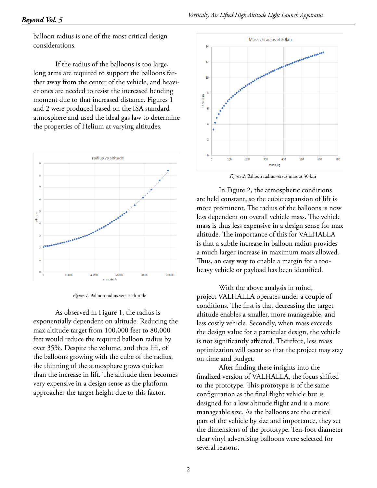balloon radius is one of the most critical design considerations.

If the radius of the balloons is too large, long arms are required to support the balloons farther away from the center of the vehicle, and heavier ones are needed to resist the increased bending moment due to that increased distance. Figures 1 and 2 were produced based on the ISA standard atmosphere and used the ideal gas law to determine the properties of Helium at varying altitudes.



*Figure 1*. Balloon radius versus altitude

As observed in Figure 1, the radius is exponentially dependent on altitude. Reducing the max altitude target from 100,000 feet to 80,000 feet would reduce the required balloon radius by over 35%. Despite the volume, and thus lift, of the balloons growing with the cube of the radius, the thinning of the atmosphere grows quicker than the increase in lift. The altitude then becomes very expensive in a design sense as the platform approaches the target height due to this factor.



*Figure 2.* Balloon radius versus mass at 30 km

In Figure 2, the atmospheric conditions are held constant, so the cubic expansion of lift is more prominent. The radius of the balloons is now less dependent on overall vehicle mass. The vehicle mass is thus less expensive in a design sense for max altitude. The importance of this for VALHALLA is that a subtle increase in balloon radius provides a much larger increase in maximum mass allowed. Thus, an easy way to enable a margin for a tooheavy vehicle or payload has been identified.

With the above analysis in mind, project VALHALLA operates under a couple of conditions. The first is that decreasing the target altitude enables a smaller, more manageable, and less costly vehicle. Secondly, when mass exceeds the design value for a particular design, the vehicle is not significantly affected. Therefore, less mass optimization will occur so that the project may stay on time and budget.

After finding these insights into the finalized version of VALHALLA, the focus shifted to the prototype. This prototype is of the same configuration as the final flight vehicle but is designed for a low altitude flight and is a more manageable size. As the balloons are the critical part of the vehicle by size and importance, they set the dimensions of the prototype. Ten-foot diameter clear vinyl advertising balloons were selected for several reasons.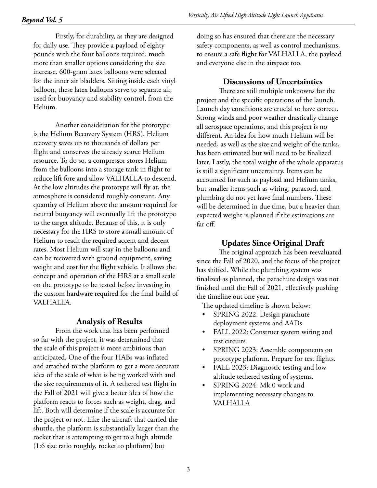Firstly, for durability, as they are designed for daily use. They provide a payload of eighty pounds with the four balloons required, much more than smaller options considering the size increase. 600-gram latex balloons were selected for the inner air bladders. Sitting inside each vinyl balloon, these latex balloons serve to separate air, used for buoyancy and stability control, from the Helium.

Another consideration for the prototype is the Helium Recovery System (HRS). Helium recovery saves up to thousands of dollars per flight and conserves the already scarce Helium resource. To do so, a compressor stores Helium from the balloons into a storage tank in flight to reduce lift fore and allow VALHALLA to descend. At the low altitudes the prototype will fly at, the atmosphere is considered roughly constant. Any quantity of Helium above the amount required for neutral buoyancy will eventually lift the prototype to the target altitude. Because of this, it is only necessary for the HRS to store a small amount of Helium to reach the required accent and decent rates. Most Helium will stay in the balloons and can be recovered with ground equipment, saving weight and cost for the flight vehicle. It allows the concept and operation of the HRS at a small scale on the prototype to be tested before investing in the custom hardware required for the final build of VALHALLA.

#### **Analysis of Results**

From the work that has been performed so far with the project, it was determined that the scale of this project is more ambitious than anticipated. One of the four HABs was inflated and attached to the platform to get a more accurate idea of the scale of what is being worked with and the size requirements of it. A tethered test flight in the Fall of 2021 will give a better idea of how the platform reacts to forces such as weight, drag, and lift. Both will determine if the scale is accurate for the project or not. Like the aircraft that carried the shuttle, the platform is substantially larger than the rocket that is attempting to get to a high altitude (1:6 size ratio roughly, rocket to platform) but

doing so has ensured that there are the necessary safety components, as well as control mechanisms, to ensure a safe flight for VALHALLA, the payload and everyone else in the airspace too.

#### **Discussions of Uncertainties**

There are still multiple unknowns for the project and the specific operations of the launch. Launch day conditions are crucial to have correct. Strong winds and poor weather drastically change all aerospace operations, and this project is no different. An idea for how much Helium will be needed, as well as the size and weight of the tanks, has been estimated but will need to be finalized later. Lastly, the total weight of the whole apparatus is still a significant uncertainty. Items can be accounted for such as payload and Helium tanks, but smaller items such as wiring, paracord, and plumbing do not yet have final numbers. These will be determined in due time, but a heavier than expected weight is planned if the estimations are far off.

#### **Updates Since Original Draft**

The original approach has been reevaluated since the Fall of 2020, and the focus of the project has shifted. While the plumbing system was finalized as planned, the parachute design was not finished until the Fall of 2021, effectively pushing the timeline out one year.

The updated timeline is shown below:

- SPRING 2022: Design parachute deployment systems and AADs
- FALL 2022: Construct system wiring and test circuits
- SPRING 2023: Assemble components on prototype platform. Prepare for test flights.
- FALL 2023: Diagnostic testing and low altitude tethered testing of systems.
- SPRING 2024: Mk.0 work and implementing necessary changes to VALHALLA